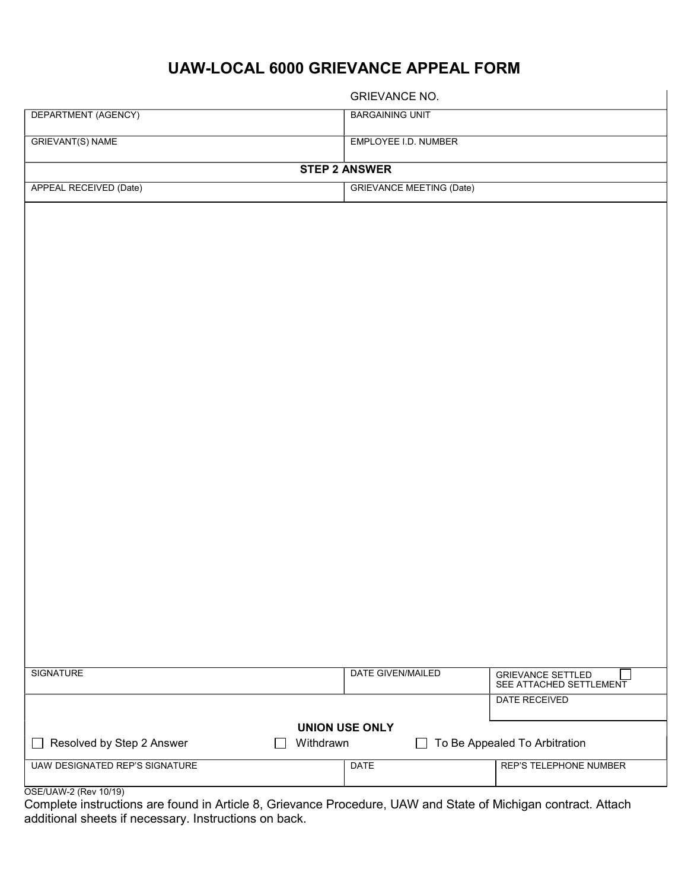## UAW-LOCAL 6000 GRIEVANCE APPEAL FORM

|                                       | <b>GRIEVANCE NO.</b>            |                               |  |  |  |
|---------------------------------------|---------------------------------|-------------------------------|--|--|--|
| DEPARTMENT (AGENCY)                   | <b>BARGAINING UNIT</b>          |                               |  |  |  |
| <b>GRIEVANT(S) NAME</b>               | EMPLOYEE I.D. NUMBER            |                               |  |  |  |
|                                       | <b>STEP 2 ANSWER</b>            |                               |  |  |  |
| <b>APPEAL RECEIVED (Date)</b>         | <b>GRIEVANCE MEETING (Date)</b> |                               |  |  |  |
|                                       |                                 |                               |  |  |  |
|                                       |                                 |                               |  |  |  |
|                                       |                                 |                               |  |  |  |
|                                       |                                 |                               |  |  |  |
|                                       |                                 |                               |  |  |  |
|                                       |                                 |                               |  |  |  |
|                                       |                                 |                               |  |  |  |
|                                       |                                 |                               |  |  |  |
|                                       |                                 |                               |  |  |  |
|                                       |                                 |                               |  |  |  |
|                                       |                                 |                               |  |  |  |
|                                       |                                 |                               |  |  |  |
|                                       |                                 |                               |  |  |  |
|                                       |                                 |                               |  |  |  |
|                                       |                                 |                               |  |  |  |
|                                       |                                 |                               |  |  |  |
|                                       |                                 |                               |  |  |  |
|                                       |                                 |                               |  |  |  |
|                                       |                                 |                               |  |  |  |
|                                       |                                 |                               |  |  |  |
|                                       |                                 |                               |  |  |  |
|                                       |                                 |                               |  |  |  |
| <b>SIGNATURE</b>                      | DATE GIVEN/MAILED               | <b>GRIEVANCE SETTLED</b>      |  |  |  |
|                                       |                                 | SEE ATTACHED SETTLEMENT       |  |  |  |
|                                       |                                 | <b>DATE RECEIVED</b>          |  |  |  |
| <b>UNION USE ONLY</b>                 |                                 |                               |  |  |  |
| Resolved by Step 2 Answer             | Withdrawn<br>$\blacksquare$     | To Be Appealed To Arbitration |  |  |  |
| <b>UAW DESIGNATED REP'S SIGNATURE</b> | <b>DATE</b>                     | <b>REP'S TELEPHONE NUMBER</b> |  |  |  |
| OSE/UAW-2 (Rev 10/19)                 |                                 |                               |  |  |  |

Complete instructions are found in Article 8, Grievance Procedure, UAW and State of Michigan contract. Attach additional sheets if necessary. Instructions on back.